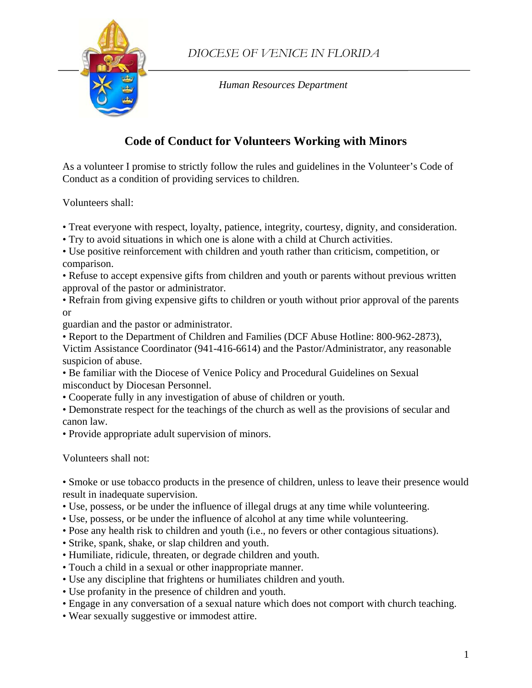

*Human Resources Department* 

## **Code of Conduct for Volunteers Working with Minors**

As a volunteer I promise to strictly follow the rules and guidelines in the Volunteer's Code of Conduct as a condition of providing services to children.

Volunteers shall:

- Treat everyone with respect, loyalty, patience, integrity, courtesy, dignity, and consideration.
- Try to avoid situations in which one is alone with a child at Church activities.
- Use positive reinforcement with children and youth rather than criticism, competition, or comparison.
- Refuse to accept expensive gifts from children and youth or parents without previous written approval of the pastor or administrator.
- Refrain from giving expensive gifts to children or youth without prior approval of the parents or

guardian and the pastor or administrator.

• Report to the Department of Children and Families (DCF Abuse Hotline: 800-962-2873),

Victim Assistance Coordinator (941-416-6614) and the Pastor/Administrator, any reasonable suspicion of abuse.

• Be familiar with the Diocese of Venice Policy and Procedural Guidelines on Sexual misconduct by Diocesan Personnel.

• Cooperate fully in any investigation of abuse of children or youth.

• Demonstrate respect for the teachings of the church as well as the provisions of secular and canon law.

• Provide appropriate adult supervision of minors.

Volunteers shall not:

• Smoke or use tobacco products in the presence of children, unless to leave their presence would result in inadequate supervision.

- Use, possess, or be under the influence of illegal drugs at any time while volunteering.
- Use, possess, or be under the influence of alcohol at any time while volunteering.
- Pose any health risk to children and youth (i.e., no fevers or other contagious situations).
- Strike, spank, shake, or slap children and youth.
- Humiliate, ridicule, threaten, or degrade children and youth.
- Touch a child in a sexual or other inappropriate manner.
- Use any discipline that frightens or humiliates children and youth.
- Use profanity in the presence of children and youth.
- Engage in any conversation of a sexual nature which does not comport with church teaching.
- Wear sexually suggestive or immodest attire.